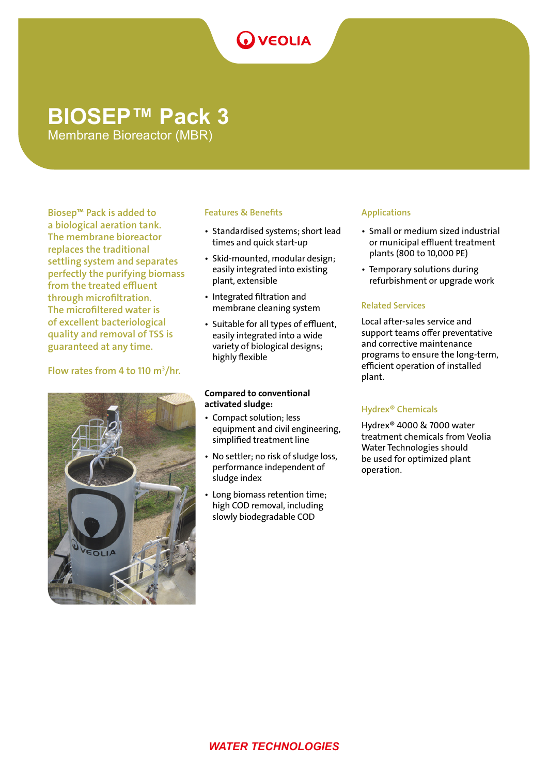# **O** VEOLIA

# **BIOSEP™ Pack 3**

Membrane Bioreactor (MBR)

Biosep™ Pack is added to a biological aeration tank. The membrane bioreactor replaces the traditional settling system and separates perfectly the purifying biomass from the treated effluent through microfiltration. The microfiltered water is of excellent bacteriological quality and removal of TSS is guaranteed at any time.

# Flow rates from 4 to 110  $m^3/hr$ .



# Features & Benefits

- Standardised systems; short lead times and quick start-up
- Skid-mounted, modular design; easily integrated into existing plant, extensible
- Integrated filtration and membrane cleaning system
- Suitable for all types of effluent, easily integrated into a wide variety of biological designs; highly flexible

### Compared to conventional activated sludge:

- Compact solution; less equipment and civil engineering, simplified treatment line
- No settler; no risk of sludge loss, performance independent of sludge index
- Long biomass retention time; high COD removal, including slowly biodegradable COD

## Applications

- Small or medium sized industrial or municipal effluent treatment plants (800 to 10,000 PE)
- Temporary solutions during refurbishment or upgrade work

# Related Services

Local after-sales service and support teams offer preventative and corrective maintenance programs to ensure the long-term, efficient operation of installed plant.

# Hydrex® Chemicals

Hydrex® 4000 & 7000 water treatment chemicals from Veolia Water Technologies should be used for optimized plant operation.